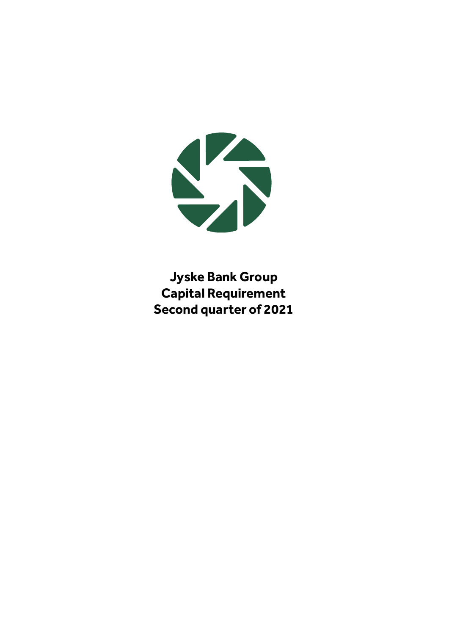

**Jyske Bank Group Capital Requirement Second quarter of 2021**